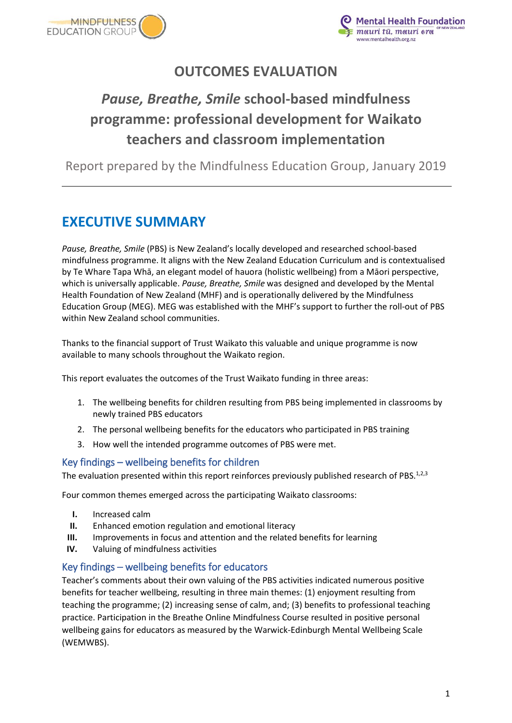



# **OUTCOMES EVALUATION**

# *Pause, Breathe, Smile* **school-based mindfulness programme: professional development for Waikato teachers and classroom implementation**

Report prepared by the Mindfulness Education Group, January 2019

# <span id="page-0-0"></span>**EXECUTIVE SUMMARY**

*Pause, Breathe, Smile* (PBS) is New Zealand's locally developed and researched school-based mindfulness programme. It aligns with the New Zealand Education Curriculum and is contextualised by Te Whare Tapa Whā, an elegant model of hauora (holistic wellbeing) from a Māori perspective, which is universally applicable. *Pause, Breathe, Smile* was designed and developed by the Mental Health Foundation of New Zealand (MHF) and is operationally delivered by the Mindfulness Education Group (MEG). MEG was established with the MHF's support to further the roll-out of PBS within New Zealand school communities.

Thanks to the financial support of Trust Waikato this valuable and unique programme is now available to many schools throughout the Waikato region.

This report evaluates the outcomes of the Trust Waikato funding in three areas:

- 1. The wellbeing benefits for children resulting from PBS being implemented in classrooms by newly trained PBS educators
- 2. The personal wellbeing benefits for the educators who participated in PBS training
- 3. How well the intended programme outcomes of PBS were met.

### <span id="page-0-1"></span>Key findings – wellbeing benefits for children

The evaluation presented within this report reinforces previously published research of PBS.<sup>1,2,3</sup>

Four common themes emerged across the participating Waikato classrooms:

- **I.** Increased calm
- **II.** Enhanced emotion regulation and emotional literacy
- **III.** Improvements in focus and attention and the related benefits for learning
- **IV.** Valuing of mindfulness activities

### <span id="page-0-2"></span>Key findings – wellbeing benefits for educators

Teacher's comments about their own valuing of the PBS activities indicated numerous positive benefits for teacher wellbeing, resulting in three main themes: (1) enjoyment resulting from teaching the programme; (2) increasing sense of calm, and; (3) benefits to professional teaching practice. Participation in the Breathe Online Mindfulness Course resulted in positive personal wellbeing gains for educators as measured by the Warwick-Edinburgh Mental Wellbeing Scale (WEMWBS).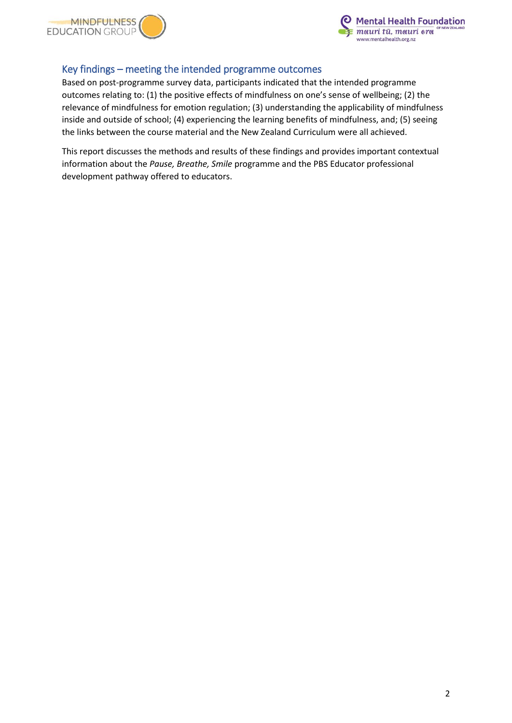



### <span id="page-1-0"></span>Key findings – meeting the intended programme outcomes

Based on post-programme survey data, participants indicated that the intended programme outcomes relating to: (1) the positive effects of mindfulness on one's sense of wellbeing; (2) the relevance of mindfulness for emotion regulation; (3) understanding the applicability of mindfulness inside and outside of school; (4) experiencing the learning benefits of mindfulness, and; (5) seeing the links between the course material and the New Zealand Curriculum were all achieved.

This report discusses the methods and results of these findings and provides important contextual information about the *Pause, Breathe, Smile* programme and the PBS Educator professional development pathway offered to educators.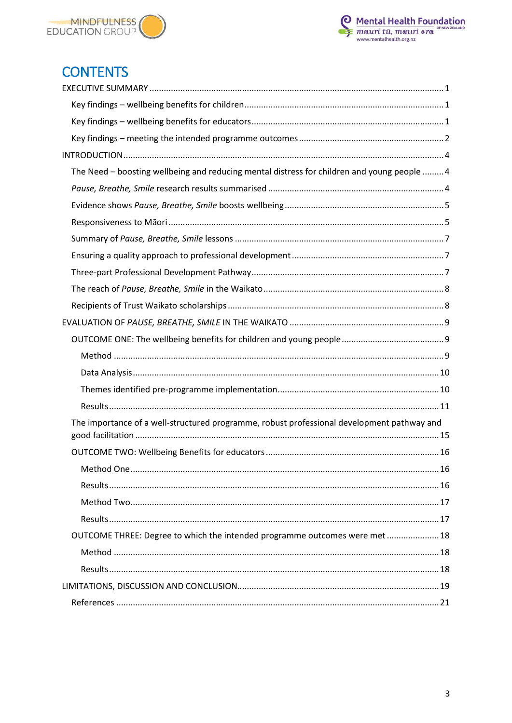



# **CONTENTS**

| The Need - boosting wellbeing and reducing mental distress for children and young people  4 |
|---------------------------------------------------------------------------------------------|
|                                                                                             |
|                                                                                             |
|                                                                                             |
|                                                                                             |
|                                                                                             |
|                                                                                             |
|                                                                                             |
|                                                                                             |
|                                                                                             |
|                                                                                             |
|                                                                                             |
|                                                                                             |
|                                                                                             |
|                                                                                             |
| The importance of a well-structured programme, robust professional development pathway and  |
|                                                                                             |
|                                                                                             |
| .16                                                                                         |
|                                                                                             |
|                                                                                             |
|                                                                                             |
| OUTCOME THREE: Degree to which the intended programme outcomes were met 18                  |
|                                                                                             |
|                                                                                             |
|                                                                                             |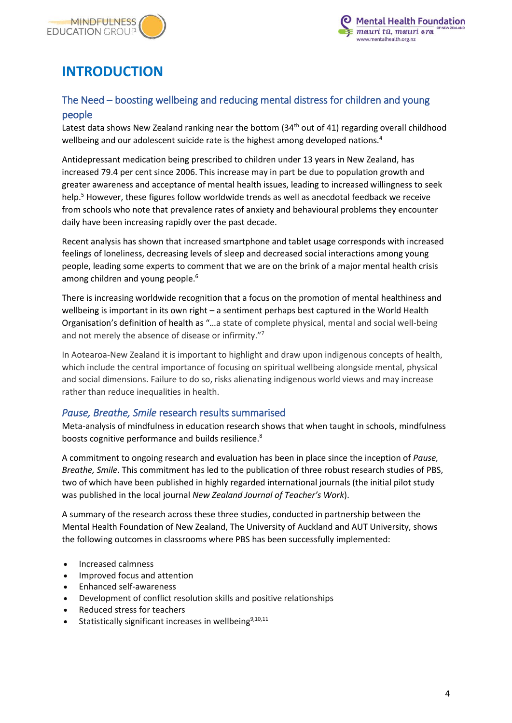



# <span id="page-3-0"></span>**INTRODUCTION**

# <span id="page-3-1"></span>The Need – boosting wellbeing and reducing mental distress for children and young people

Latest data shows New Zealand ranking near the bottom (34<sup>th</sup> out of 41) regarding overall childhood wellbeing and our adolescent suicide rate is the highest among developed nations.<sup>4</sup>

Antidepressant medication being prescribed to children under 13 years in New Zealand, has increased 79.4 per cent since 2006. This increase may in part be due to population growth and greater awareness and acceptance of mental health issues, leading to increased willingness to seek help.<sup>5</sup> However, these figures follow worldwide trends as well as anecdotal feedback we receive from schools who note that prevalence rates of anxiety and behavioural problems they encounter daily have been increasing rapidly over the past decade.

Recent analysis has shown that increased smartphone and tablet usage corresponds with increased feelings of loneliness, decreasing levels of sleep and decreased social interactions among young people, leading some experts to comment that we are on the brink of a major mental health crisis among children and young people.<sup>6</sup>

There is increasing worldwide recognition that a focus on the promotion of mental healthiness and wellbeing is important in its own right – a sentiment perhaps best captured in the World Health Organisation's definition of health as "…a state of complete physical, mental and social well-being and not merely the absence of disease or infirmity."<sup>7</sup>

In Aotearoa-New Zealand it is important to highlight and draw upon indigenous concepts of health, which include the central importance of focusing on spiritual wellbeing alongside mental, physical and social dimensions. Failure to do so, risks alienating indigenous world views and may increase rather than reduce inequalities in health.

### <span id="page-3-2"></span>*Pause, Breathe, Smile* research results summarised

Meta-analysis of mindfulness in education research shows that when taught in schools, mindfulness boosts cognitive performance and builds resilience.<sup>8</sup>

A commitment to ongoing research and evaluation has been in place since the inception of *Pause, Breathe, Smile*. This commitment has led to the publication of three robust research studies of PBS, two of which have been published in highly regarded international journals (the initial pilot study was published in the local journal *New Zealand Journal of Teacher's Work*).

A summary of the research across these three studies, conducted in partnership between the Mental Health Foundation of New Zealand, The University of Auckland and AUT University, shows the following outcomes in classrooms where PBS has been successfully implemented:

- Increased calmness
- Improved focus and attention
- Enhanced self-awareness
- Development of conflict resolution skills and positive relationships
- Reduced stress for teachers
- Statistically significant increases in wellbeing<sup>9,10,11</sup>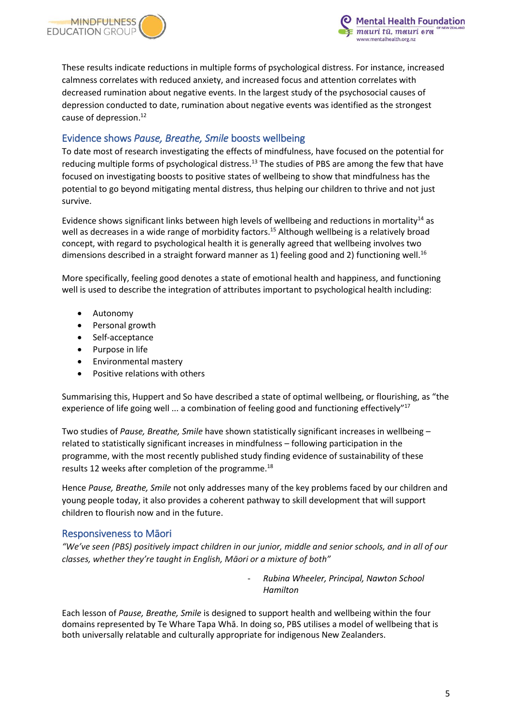

These results indicate reductions in multiple forms of psychological distress. For instance, increased calmness correlates with reduced anxiety, and increased focus and attention correlates with decreased rumination about negative events. In the largest study of the psychosocial causes of depression conducted to date, rumination about negative events was identified as the strongest cause of depression.<sup>12</sup>

#### <span id="page-4-0"></span>Evidence shows *Pause, Breathe, Smile* boosts wellbeing

To date most of research investigating the effects of mindfulness, have focused on the potential for reducing multiple forms of psychological distress.<sup>13</sup> The studies of PBS are among the few that have focused on investigating boosts to positive states of wellbeing to show that mindfulness has the potential to go beyond mitigating mental distress, thus helping our children to thrive and not just survive.

Evidence shows significant links between high levels of wellbeing and reductions in mortality<sup>14</sup> as well as decreases in a wide range of morbidity factors.<sup>15</sup> Although wellbeing is a relatively broad concept, with regard to psychological health it is generally agreed that wellbeing involves two dimensions described in a straight forward manner as 1) feeling good and 2) functioning well.<sup>16</sup>

More specifically, feeling good denotes a state of emotional health and happiness, and functioning well is used to describe the integration of attributes important to psychological health including:

- Autonomy
- Personal growth
- Self-acceptance
- Purpose in life
- Environmental mastery
- Positive relations with others

Summarising this, Huppert and So have described a state of optimal wellbeing, or flourishing, as "the experience of life going well ... a combination of feeling good and functioning effectively"<sup>17</sup>

Two studies of *Pause, Breathe, Smile* have shown statistically significant increases in wellbeing – related to statistically significant increases in mindfulness – following participation in the programme, with the most recently published study finding evidence of sustainability of these results 12 weeks after completion of the programme.<sup>18</sup>

Hence *Pause, Breathe, Smile* not only addresses many of the key problems faced by our children and young people today, it also provides a coherent pathway to skill development that will support children to flourish now and in the future.

#### <span id="page-4-1"></span>Responsiveness to Māori

*"We've seen (PBS) positively impact children in our junior, middle and senior schools, and in all of our classes, whether they're taught in English, Māori or a mixture of both"*

> - *Rubina Wheeler, Principal, Nawton School Hamilton*

Each lesson of *Pause, Breathe, Smile* is designed to support health and wellbeing within the four domains represented by Te Whare Tapa Whā. In doing so, PBS utilises a model of wellbeing that is both universally relatable and culturally appropriate for indigenous New Zealanders.

ental Health Foundation

mauri tū, mauri ora w.mentalhealth.org.nz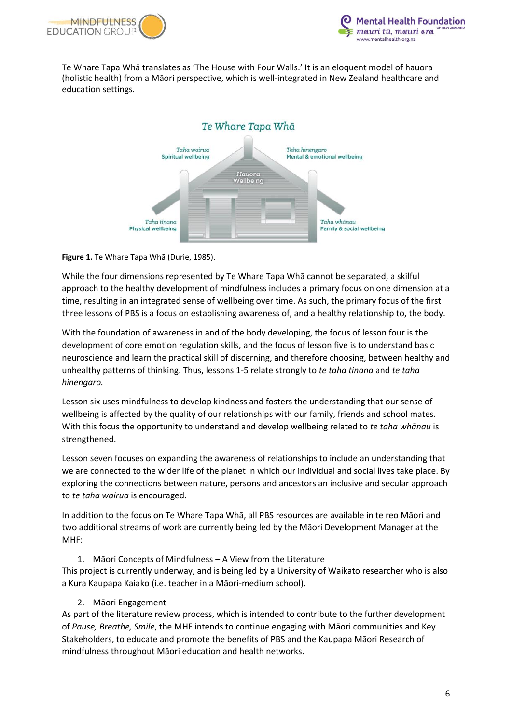



Te Whare Tapa Whā translates as 'The House with Four Walls.' It is an eloquent model of hauora (holistic health) from a Māori perspective, which is well-integrated in New Zealand healthcare and education settings.



#### **Figure 1.** Te Whare Tapa Whā (Durie, 1985).

While the four dimensions represented by Te Whare Tapa Whā cannot be separated, a skilful approach to the healthy development of mindfulness includes a primary focus on one dimension at a time, resulting in an integrated sense of wellbeing over time. As such, the primary focus of the first three lessons of PBS is a focus on establishing awareness of, and a healthy relationship to, the body.

With the foundation of awareness in and of the body developing, the focus of lesson four is the development of core emotion regulation skills, and the focus of lesson five is to understand basic neuroscience and learn the practical skill of discerning, and therefore choosing, between healthy and unhealthy patterns of thinking. Thus, lessons 1-5 relate strongly to *te taha tinana* and *te taha hinengaro.*

Lesson six uses mindfulness to develop kindness and fosters the understanding that our sense of wellbeing is affected by the quality of our relationships with our family, friends and school mates. With this focus the opportunity to understand and develop wellbeing related to *te taha whānau* is strengthened.

Lesson seven focuses on expanding the awareness of relationships to include an understanding that we are connected to the wider life of the planet in which our individual and social lives take place. By exploring the connections between nature, persons and ancestors an inclusive and secular approach to *te taha wairua* is encouraged.

In addition to the focus on Te Whare Tapa Whā, all PBS resources are available in te reo Māori and two additional streams of work are currently being led by the Māori Development Manager at the MHF:

1. Māori Concepts of Mindfulness – A View from the Literature This project is currently underway, and is being led by a University of Waikato researcher who is also a Kura Kaupapa Kaiako (i.e. teacher in a Māori-medium school).

#### 2. Māori Engagement

As part of the literature review process, which is intended to contribute to the further development of *Pause, Breathe, Smile*, the MHF intends to continue engaging with Māori communities and Key Stakeholders, to educate and promote the benefits of PBS and the Kaupapa Māori Research of mindfulness throughout Māori education and health networks.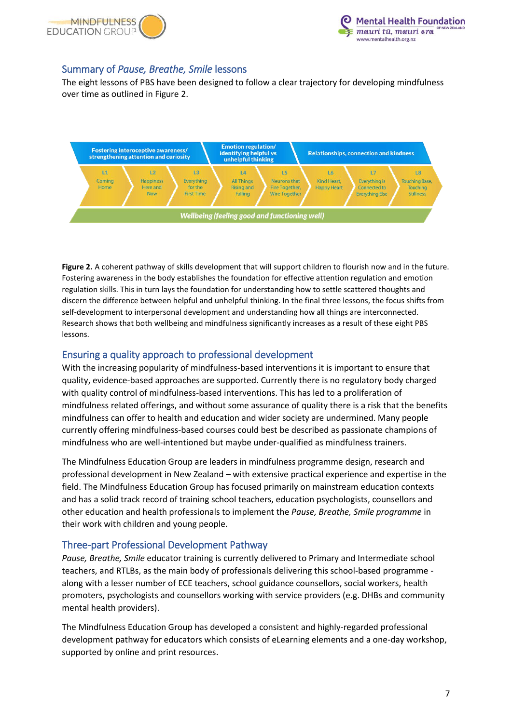



### <span id="page-6-0"></span>Summary of *Pause, Breathe, Smile* lessons

The eight lessons of PBS have been designed to follow a clear trajectory for developing mindfulness over time as outlined in Figure 2.



**Figure 2.** A coherent pathway of skills development that will support children to flourish now and in the future. Fostering awareness in the body establishes the foundation for effective attention regulation and emotion regulation skills. This in turn lays the foundation for understanding how to settle scattered thoughts and discern the difference between helpful and unhelpful thinking. In the final three lessons, the focus shifts from self-development to interpersonal development and understanding how all things are interconnected. Research shows that both wellbeing and mindfulness significantly increases as a result of these eight PBS lessons.

#### <span id="page-6-1"></span>Ensuring a quality approach to professional development

With the increasing popularity of mindfulness-based interventions it is important to ensure that quality, evidence-based approaches are supported. Currently there is no regulatory body charged with quality control of mindfulness-based interventions. This has led to a proliferation of mindfulness related offerings, and without some assurance of quality there is a risk that the benefits mindfulness can offer to health and education and wider society are undermined. Many people currently offering mindfulness-based courses could best be described as passionate champions of mindfulness who are well-intentioned but maybe under-qualified as mindfulness trainers.

The Mindfulness Education Group are leaders in mindfulness programme design, research and professional development in New Zealand – with extensive practical experience and expertise in the field. The Mindfulness Education Group has focused primarily on mainstream education contexts and has a solid track record of training school teachers, education psychologists, counsellors and other education and health professionals to implement the *Pause, Breathe, Smile programme* in their work with children and young people.

#### <span id="page-6-2"></span>Three-part Professional Development Pathway

*Pause, Breathe, Smile* educator training is currently delivered to Primary and Intermediate school teachers, and RTLBs, as the main body of professionals delivering this school-based programme along with a lesser number of ECE teachers, school guidance counsellors, social workers, health promoters, psychologists and counsellors working with service providers (e.g. DHBs and community mental health providers).

The Mindfulness Education Group has developed a consistent and highly-regarded professional development pathway for educators which consists of eLearning elements and a one-day workshop, supported by online and print resources.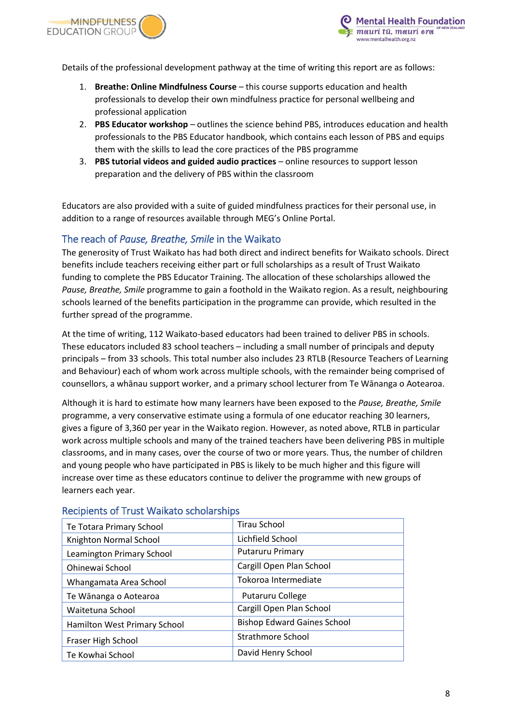



Details of the professional development pathway at the time of writing this report are as follows:

- 1. **Breathe: Online Mindfulness Course** this course supports education and health professionals to develop their own mindfulness practice for personal wellbeing and professional application
- 2. **PBS Educator workshop** outlines the science behind PBS, introduces education and health professionals to the PBS Educator handbook, which contains each lesson of PBS and equips them with the skills to lead the core practices of the PBS programme
- 3. **PBS tutorial videos and guided audio practices** online resources to support lesson preparation and the delivery of PBS within the classroom

Educators are also provided with a suite of guided mindfulness practices for their personal use, in addition to a range of resources available through MEG's Online Portal.

#### <span id="page-7-0"></span>The reach of *Pause, Breathe, Smile* in the Waikato

The generosity of Trust Waikato has had both direct and indirect benefits for Waikato schools. Direct benefits include teachers receiving either part or full scholarships as a result of Trust Waikato funding to complete the PBS Educator Training. The allocation of these scholarships allowed the *Pause, Breathe, Smile* programme to gain a foothold in the Waikato region. As a result, neighbouring schools learned of the benefits participation in the programme can provide, which resulted in the further spread of the programme.

At the time of writing, 112 Waikato-based educators had been trained to deliver PBS in schools. These educators included 83 school teachers – including a small number of principals and deputy principals – from 33 schools. This total number also includes 23 RTLB (Resource Teachers of Learning and Behaviour) each of whom work across multiple schools, with the remainder being comprised of counsellors, a whānau support worker, and a primary school lecturer from Te Wānanga o Aotearoa.

Although it is hard to estimate how many learners have been exposed to the *Pause, Breathe, Smile* programme, a very conservative estimate using a formula of one educator reaching 30 learners, gives a figure of 3,360 per year in the Waikato region. However, as noted above, RTLB in particular work across multiple schools and many of the trained teachers have been delivering PBS in multiple classrooms, and in many cases, over the course of two or more years. Thus, the number of children and young people who have participated in PBS is likely to be much higher and this figure will increase over time as these educators continue to deliver the programme with new groups of learners each year.

| Te Totara Primary School     | Tirau School                       |
|------------------------------|------------------------------------|
| Knighton Normal School       | Lichfield School                   |
| Leamington Primary School    | <b>Putaruru Primary</b>            |
| Ohinewai School              | Cargill Open Plan School           |
| Whangamata Area School       | Tokoroa Intermediate               |
| Te Wānanga o Aotearoa        | Putaruru College                   |
| Waitetuna School             | Cargill Open Plan School           |
| Hamilton West Primary School | <b>Bishop Edward Gaines School</b> |
| Fraser High School           | <b>Strathmore School</b>           |
| Te Kowhai School             | David Henry School                 |

#### <span id="page-7-1"></span>Recipients of Trust Waikato scholarships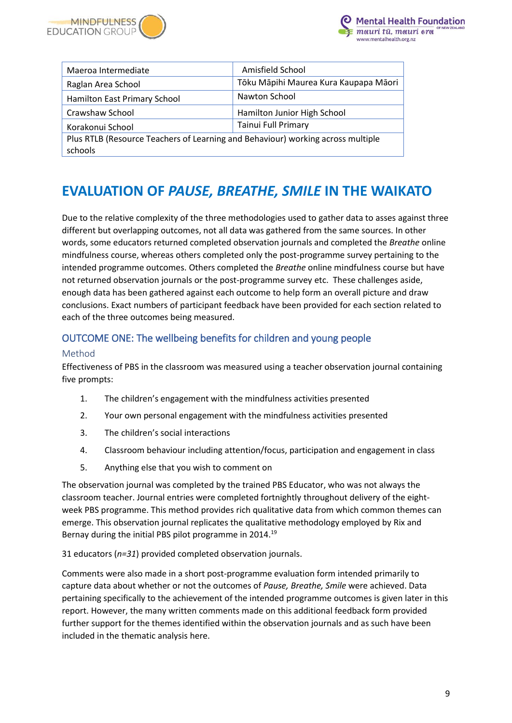



| Maeroa Intermediate                                                             | Amisfield School                      |
|---------------------------------------------------------------------------------|---------------------------------------|
| Raglan Area School                                                              | Tōku Māpihi Maurea Kura Kaupapa Māori |
| Hamilton East Primary School                                                    | Nawton School                         |
| Crawshaw School                                                                 | Hamilton Junior High School           |
| Korakonui School                                                                | <b>Tainui Full Primary</b>            |
| Plus RTLB (Resource Teachers of Learning and Behaviour) working across multiple |                                       |
| schools                                                                         |                                       |

# <span id="page-8-0"></span>**EVALUATION OF** *PAUSE, BREATHE, SMILE* **IN THE WAIKATO**

Due to the relative complexity of the three methodologies used to gather data to asses against three different but overlapping outcomes, not all data was gathered from the same sources. In other words, some educators returned completed observation journals and completed the *Breathe* online mindfulness course, whereas others completed only the post-programme survey pertaining to the intended programme outcomes. Others completed the *Breathe* online mindfulness course but have not returned observation journals or the post-programme survey etc. These challenges aside, enough data has been gathered against each outcome to help form an overall picture and draw conclusions. Exact numbers of participant feedback have been provided for each section related to each of the three outcomes being measured.

## <span id="page-8-1"></span>OUTCOME ONE: The wellbeing benefits for children and young people

#### <span id="page-8-2"></span>Method

Effectiveness of PBS in the classroom was measured using a teacher observation journal containing five prompts:

- 1. The children's engagement with the mindfulness activities presented
- 2. Your own personal engagement with the mindfulness activities presented
- 3. The children's social interactions
- 4. Classroom behaviour including attention/focus, participation and engagement in class
- 5. Anything else that you wish to comment on

The observation journal was completed by the trained PBS Educator, who was not always the classroom teacher. Journal entries were completed fortnightly throughout delivery of the eightweek PBS programme. This method provides rich qualitative data from which common themes can emerge. This observation journal replicates the qualitative methodology employed by Rix and Bernay during the initial PBS pilot programme in 2014.<sup>19</sup>

31 educators (*n=31*) provided completed observation journals.

Comments were also made in a short post-programme evaluation form intended primarily to capture data about whether or not the outcomes of *Pause, Breathe, Smile* were achieved. Data pertaining specifically to the achievement of the intended programme outcomes is given later in this report. However, the many written comments made on this additional feedback form provided further support for the themes identified within the observation journals and as such have been included in the thematic analysis here.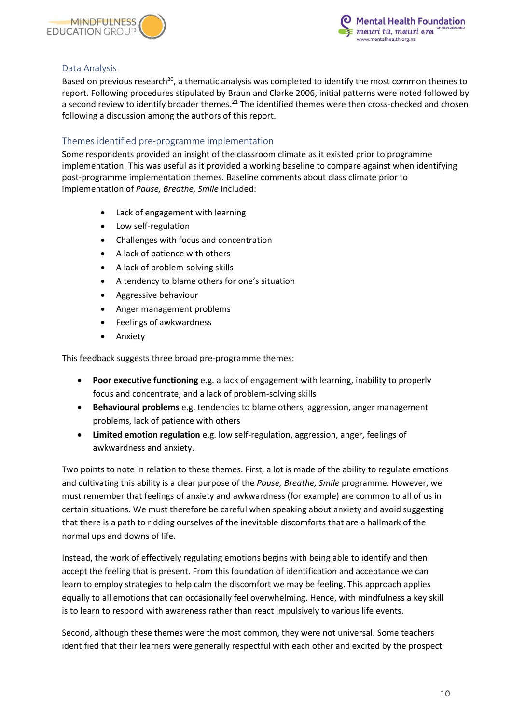



#### <span id="page-9-0"></span>Data Analysis

Based on previous research<sup>20</sup>, a thematic analysis was completed to identify the most common themes to report. Following procedures stipulated by Braun and Clarke 2006, initial patterns were noted followed by a second review to identify broader themes.<sup>21</sup> The identified themes were then cross-checked and chosen following a discussion among the authors of this report.

#### <span id="page-9-1"></span>Themes identified pre-programme implementation

Some respondents provided an insight of the classroom climate as it existed prior to programme implementation. This was useful as it provided a working baseline to compare against when identifying post-programme implementation themes. Baseline comments about class climate prior to implementation of *Pause, Breathe, Smile* included:

- Lack of engagement with learning
- Low self-regulation
- Challenges with focus and concentration
- A lack of patience with others
- A lack of problem-solving skills
- A tendency to blame others for one's situation
- Aggressive behaviour
- Anger management problems
- Feelings of awkwardness
- **Anxiety**

This feedback suggests three broad pre-programme themes:

- **Poor executive functioning** e.g. a lack of engagement with learning, inability to properly focus and concentrate, and a lack of problem-solving skills
- **Behavioural problems** e.g. tendencies to blame others, aggression, anger management problems, lack of patience with others
- **Limited emotion regulation** e.g. low self-regulation, aggression, anger, feelings of awkwardness and anxiety.

Two points to note in relation to these themes. First, a lot is made of the ability to regulate emotions and cultivating this ability is a clear purpose of the *Pause, Breathe, Smile* programme. However, we must remember that feelings of anxiety and awkwardness (for example) are common to all of us in certain situations. We must therefore be careful when speaking about anxiety and avoid suggesting that there is a path to ridding ourselves of the inevitable discomforts that are a hallmark of the normal ups and downs of life.

Instead, the work of effectively regulating emotions begins with being able to identify and then accept the feeling that is present. From this foundation of identification and acceptance we can learn to employ strategies to help calm the discomfort we may be feeling. This approach applies equally to all emotions that can occasionally feel overwhelming. Hence, with mindfulness a key skill is to learn to respond with awareness rather than react impulsively to various life events.

Second, although these themes were the most common, they were not universal. Some teachers identified that their learners were generally respectful with each other and excited by the prospect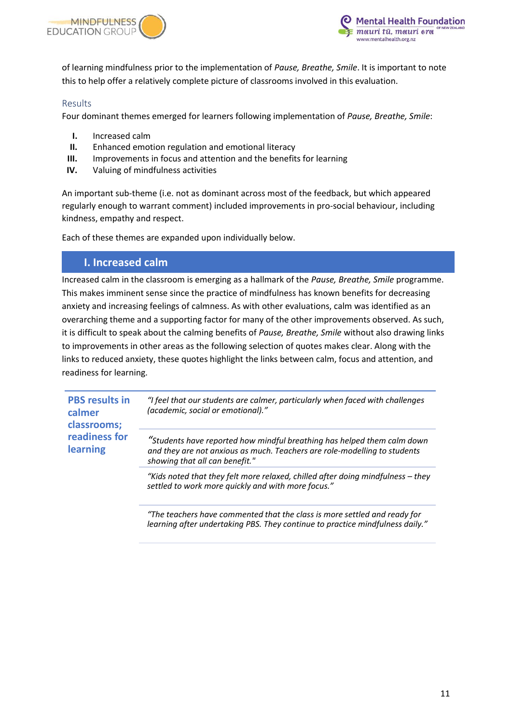



of learning mindfulness prior to the implementation of *Pause, Breathe, Smile*. It is important to note this to help offer a relatively complete picture of classrooms involved in this evaluation.

#### <span id="page-10-0"></span>Results

Four dominant themes emerged for learners following implementation of *Pause, Breathe, Smile*:

- **I.** Increased calm
- **II.** Enhanced emotion regulation and emotional literacy
- **III.** Improvements in focus and attention and the benefits for learning
- **IV.** Valuing of mindfulness activities

An important sub-theme (i.e. not as dominant across most of the feedback, but which appeared regularly enough to warrant comment) included improvements in pro-social behaviour, including kindness, empathy and respect.

Each of these themes are expanded upon individually below.

### **I. Increased calm**

Increased calm in the classroom is emerging as a hallmark of the *Pause, Breathe, Smile* programme. This makes imminent sense since the practice of mindfulness has known benefits for decreasing anxiety and increasing feelings of calmness. As with other evaluations, calm was identified as an overarching theme and a supporting factor for many of the other improvements observed. As such, it is difficult to speak about the calming benefits of *Pause, Breathe, Smile* without also drawing links to improvements in other areas as the following selection of quotes makes clear. Along with the links to reduced anxiety, these quotes highlight the links between calm, focus and attention, and readiness for learning.

| <b>PBS</b> results in<br>calmer<br>classrooms;<br>readiness for<br>learning | "I feel that our students are calmer, particularly when faced with challenges<br>(academic, social or emotional)."                                                                     |
|-----------------------------------------------------------------------------|----------------------------------------------------------------------------------------------------------------------------------------------------------------------------------------|
|                                                                             | "Students have reported how mindful breathing has helped them calm down<br>and they are not anxious as much. Teachers are role-modelling to students<br>showing that all can benefit." |
|                                                                             | "Kids noted that they felt more relaxed, chilled after doing mindfulness - they<br>settled to work more quickly and with more focus."                                                  |
|                                                                             | "The teachers have commented that the class is more settled and ready for                                                                                                              |

*"The teachers have commented that the class is more settled and ready for learning after undertaking PBS. They continue to practice mindfulness daily."*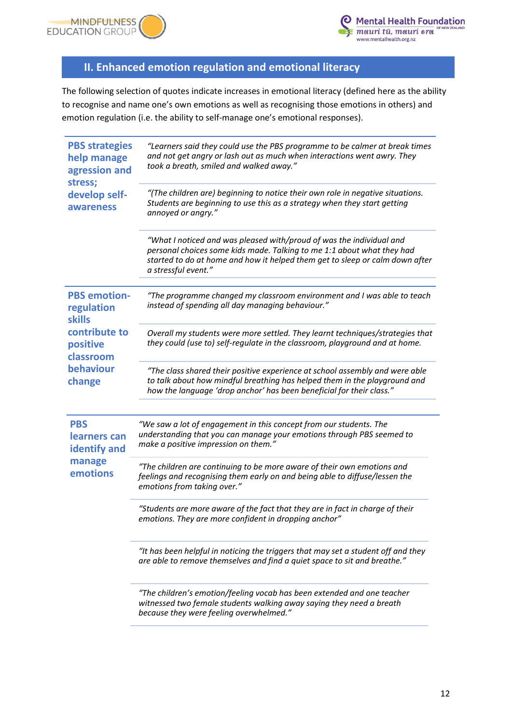



# **II. Enhanced emotion regulation and emotional literacy**

The following selection of quotes indicate increases in emotional literacy (defined here as the ability to recognise and name one's own emotions as well as recognising those emotions in others) and emotion regulation (i.e. the ability to self-manage one's emotional responses).

| <b>PBS strategies</b><br>help manage<br>agression and<br>stress;<br>develop self-<br>awareness | "Learners said they could use the PBS programme to be calmer at break times<br>and not get angry or lash out as much when interactions went awry. They<br>took a breath, smiled and walked away."                                                     |
|------------------------------------------------------------------------------------------------|-------------------------------------------------------------------------------------------------------------------------------------------------------------------------------------------------------------------------------------------------------|
|                                                                                                | "(The children are) beginning to notice their own role in negative situations.<br>Students are beginning to use this as a strategy when they start getting<br>annoyed or angry."                                                                      |
|                                                                                                | "What I noticed and was pleased with/proud of was the individual and<br>personal choices some kids made. Talking to me 1:1 about what they had<br>started to do at home and how it helped them get to sleep or calm down after<br>a stressful event." |
| <b>PBS</b> emotion-<br>regulation<br><b>skills</b>                                             | "The programme changed my classroom environment and I was able to teach<br>instead of spending all day managing behaviour."                                                                                                                           |
| contribute to<br>positive<br>classroom                                                         | Overall my students were more settled. They learnt techniques/strategies that<br>they could (use to) self-regulate in the classroom, playground and at home.                                                                                          |
| behaviour<br>change                                                                            | "The class shared their positive experience at school assembly and were able<br>to talk about how mindful breathing has helped them in the playground and<br>how the language 'drop anchor' has been beneficial for their class."                     |
| <b>PBS</b><br>learners can<br>identify and<br>manage<br>emotions                               | "We saw a lot of engagement in this concept from our students. The<br>understanding that you can manage your emotions through PBS seemed to<br>make a positive impression on them."                                                                   |
|                                                                                                | "The children are continuing to be more aware of their own emotions and<br>feelings and recognising them early on and being able to diffuse/lessen the<br>emotions from taking over."                                                                 |
|                                                                                                | "Students are more aware of the fact that they are in fact in charge of their<br>emotions. They are more confident in dropping anchor"                                                                                                                |
|                                                                                                | "It has been helpful in noticing the triggers that may set a student off and they<br>are able to remove themselves and find a quiet space to sit and breathe."                                                                                        |
|                                                                                                | "The children's emotion/feeling vocab has been extended and one teacher<br>witnessed two female students walking away saying they need a breath<br>because they were feeling overwhelmed."                                                            |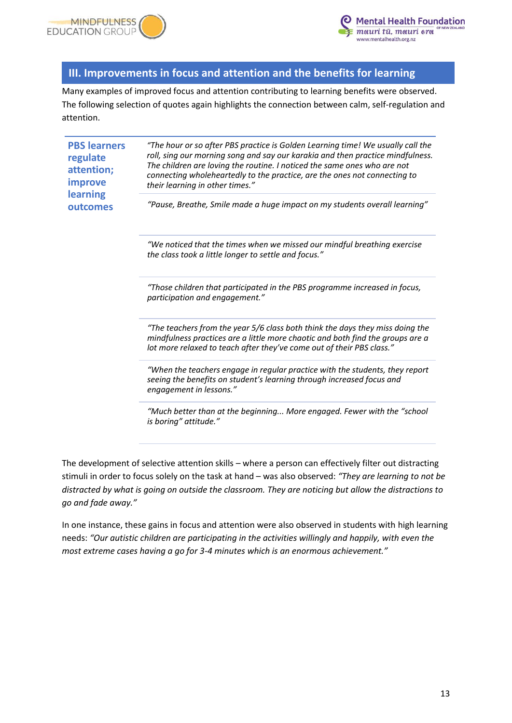



## **III. Improvements in focus and attention and the benefits for learning**

Many examples of improved focus and attention contributing to learning benefits were observed. The following selection of quotes again highlights the connection between calm, self-regulation and attention.

| <b>PBS learners</b><br>regulate<br>attention;<br>improve<br>learning<br>outcomes | "The hour or so after PBS practice is Golden Learning time! We usually call the<br>roll, sing our morning song and say our karakia and then practice mindfulness.<br>The children are loving the routine. I noticed the same ones who are not<br>connecting wholeheartedly to the practice, are the ones not connecting to<br>their learning in other times." |
|----------------------------------------------------------------------------------|---------------------------------------------------------------------------------------------------------------------------------------------------------------------------------------------------------------------------------------------------------------------------------------------------------------------------------------------------------------|
|                                                                                  | "Pause, Breathe, Smile made a huge impact on my students overall learning"                                                                                                                                                                                                                                                                                    |
|                                                                                  | "We noticed that the times when we missed our mindful breathing exercise<br>the class took a little longer to settle and focus."                                                                                                                                                                                                                              |
|                                                                                  | "Those children that participated in the PBS programme increased in focus,<br>participation and engagement."                                                                                                                                                                                                                                                  |
|                                                                                  | "The teachers from the year 5/6 class both think the days they miss doing the<br>mindfulness practices are a little more chaotic and both find the groups are a<br>lot more relaxed to teach after they've come out of their PBS class."                                                                                                                      |
|                                                                                  | "When the teachers engage in regular practice with the students, they report<br>seeing the benefits on student's learning through increased focus and<br>engagement in lessons."                                                                                                                                                                              |
|                                                                                  | "Much better than at the beginning More engaged. Fewer with the "school<br>is boring" attitude."                                                                                                                                                                                                                                                              |

The development of selective attention skills – where a person can effectively filter out distracting stimuli in order to focus solely on the task at hand – was also observed: *"They are learning to not be distracted by what is going on outside the classroom. They are noticing but allow the distractions to go and fade away."* 

In one instance, these gains in focus and attention were also observed in students with high learning needs: *"Our autistic children are participating in the activities willingly and happily, with even the most extreme cases having a go for 3-4 minutes which is an enormous achievement."*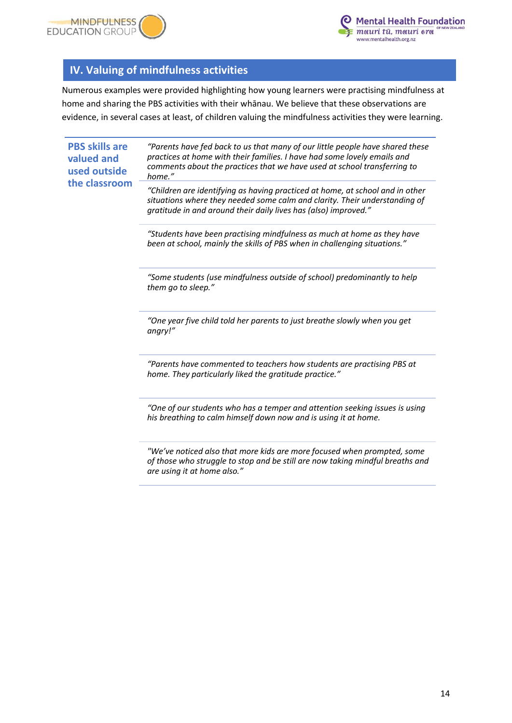



# **IV. Valuing of mindfulness activities**

Numerous examples were provided highlighting how young learners were practising mindfulness at home and sharing the PBS activities with their whānau. We believe that these observations are evidence, in several cases at least, of children valuing the mindfulness activities they were learning.

| gratitude in and around their daily lives has (also) improved."<br>"Students have been practising mindfulness as much at home as they have<br>been at school, mainly the skills of PBS when in challenging situations."<br>"Some students (use mindfulness outside of school) predominantly to help<br>them go to sleep."<br>"One year five child told her parents to just breathe slowly when you get<br>angry!"<br>"Parents have commented to teachers how students are practising PBS at<br>home. They particularly liked the gratitude practice." | <b>PBS skills are</b><br>valued and<br>used outside<br>the classroom | "Parents have fed back to us that many of our little people have shared these<br>practices at home with their families. I have had some lovely emails and<br>comments about the practices that we have used at school transferring to<br>home." |
|-------------------------------------------------------------------------------------------------------------------------------------------------------------------------------------------------------------------------------------------------------------------------------------------------------------------------------------------------------------------------------------------------------------------------------------------------------------------------------------------------------------------------------------------------------|----------------------------------------------------------------------|-------------------------------------------------------------------------------------------------------------------------------------------------------------------------------------------------------------------------------------------------|
|                                                                                                                                                                                                                                                                                                                                                                                                                                                                                                                                                       |                                                                      | "Children are identifying as having practiced at home, at school and in other<br>situations where they needed some calm and clarity. Their understanding of                                                                                     |
|                                                                                                                                                                                                                                                                                                                                                                                                                                                                                                                                                       |                                                                      |                                                                                                                                                                                                                                                 |
|                                                                                                                                                                                                                                                                                                                                                                                                                                                                                                                                                       |                                                                      |                                                                                                                                                                                                                                                 |
|                                                                                                                                                                                                                                                                                                                                                                                                                                                                                                                                                       |                                                                      |                                                                                                                                                                                                                                                 |
|                                                                                                                                                                                                                                                                                                                                                                                                                                                                                                                                                       |                                                                      |                                                                                                                                                                                                                                                 |
|                                                                                                                                                                                                                                                                                                                                                                                                                                                                                                                                                       |                                                                      | "One of our students who has a temper and attention seeking issues is using<br>his breathing to calm himself down now and is using it at home.                                                                                                  |
| are using it at home also."                                                                                                                                                                                                                                                                                                                                                                                                                                                                                                                           |                                                                      | "We've noticed also that more kids are more focused when prompted, some<br>of those who struggle to stop and be still are now taking mindful breaths and                                                                                        |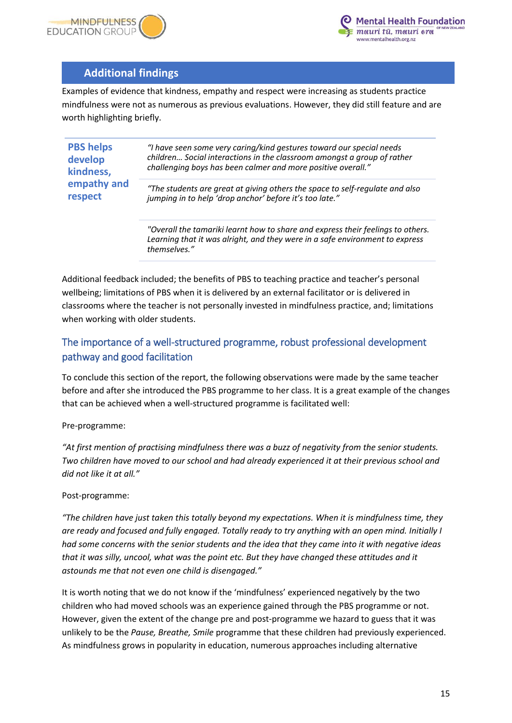



## **Additional findings**

Examples of evidence that kindness, empathy and respect were increasing as students practice mindfulness were not as numerous as previous evaluations. However, they did still feature and are worth highlighting briefly.

| "I have seen some very caring/kind gestures toward our special needs<br>children Social interactions in the classroom amongst a group of rather<br>challenging boys has been calmer and more positive overall." |
|-----------------------------------------------------------------------------------------------------------------------------------------------------------------------------------------------------------------|
| "The students are great at giving others the space to self-regulate and also<br>jumping in to help 'drop anchor' before it's too late."                                                                         |
| "Overall the tamariki learnt how to share and express their feelings to others.<br>Learning that it was alright, and they were in a safe environment to express<br>themselves."                                 |
|                                                                                                                                                                                                                 |

Additional feedback included; the benefits of PBS to teaching practice and teacher's personal wellbeing; limitations of PBS when it is delivered by an external facilitator or is delivered in classrooms where the teacher is not personally invested in mindfulness practice, and; limitations when working with older students.

## <span id="page-14-0"></span>The importance of a well-structured programme, robust professional development pathway and good facilitation

To conclude this section of the report, the following observations were made by the same teacher before and after she introduced the PBS programme to her class. It is a great example of the changes that can be achieved when a well-structured programme is facilitated well:

Pre-programme:

*"At first mention of practising mindfulness there was a buzz of negativity from the senior students. Two children have moved to our school and had already experienced it at their previous school and did not like it at all."*

#### Post-programme:

*"The children have just taken this totally beyond my expectations. When it is mindfulness time, they are ready and focused and fully engaged. Totally ready to try anything with an open mind. Initially I had some concerns with the senior students and the idea that they came into it with negative ideas that it was silly, uncool, what was the point etc. But they have changed these attitudes and it astounds me that not even one child is disengaged."*

It is worth noting that we do not know if the 'mindfulness' experienced negatively by the two children who had moved schools was an experience gained through the PBS programme or not. However, given the extent of the change pre and post-programme we hazard to guess that it was unlikely to be the *Pause, Breathe, Smile* programme that these children had previously experienced. As mindfulness grows in popularity in education, numerous approaches including alternative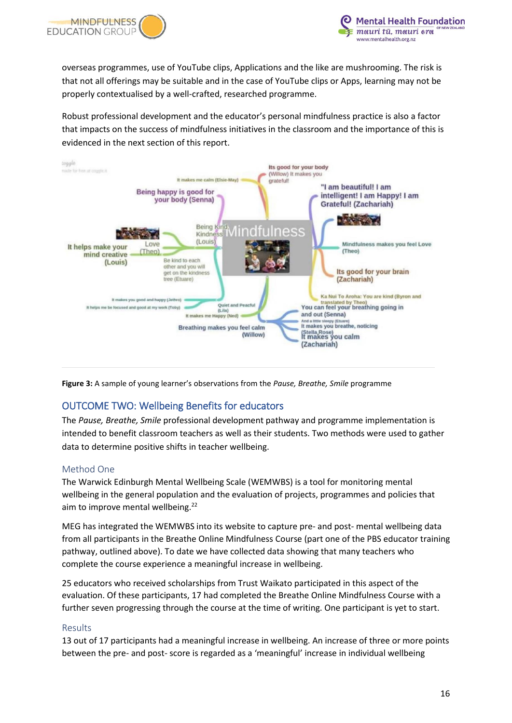



overseas programmes, use of YouTube clips, Applications and the like are mushrooming. The risk is that not all offerings may be suitable and in the case of YouTube clips or Apps, learning may not be properly contextualised by a well-crafted, researched programme.

Robust professional development and the educator's personal mindfulness practice is also a factor that impacts on the success of mindfulness initiatives in the classroom and the importance of this is evidenced in the next section of this report.



**Figure 3:** A sample of young learner's observations from the *Pause, Breathe, Smile* programme

## <span id="page-15-0"></span>OUTCOME TWO: Wellbeing Benefits for educators

The *Pause, Breathe, Smile* professional development pathway and programme implementation is intended to benefit classroom teachers as well as their students. Two methods were used to gather data to determine positive shifts in teacher wellbeing.

#### <span id="page-15-1"></span>Method One

The Warwick Edinburgh Mental Wellbeing Scale (WEMWBS) is a tool for monitoring mental wellbeing in the general population and the evaluation of projects, programmes and policies that aim to improve mental wellbeing.<sup>22</sup>

MEG has integrated the WEMWBS into its website to capture pre- and post- mental wellbeing data from all participants in the Breathe Online Mindfulness Course (part one of the PBS educator training pathway, outlined above). To date we have collected data showing that many teachers who complete the course experience a meaningful increase in wellbeing.

25 educators who received scholarships from Trust Waikato participated in this aspect of the evaluation. Of these participants, 17 had completed the Breathe Online Mindfulness Course with a further seven progressing through the course at the time of writing. One participant is yet to start.

#### <span id="page-15-2"></span>Results

13 out of 17 participants had a meaningful increase in wellbeing. An increase of three or more points between the pre- and post- score is regarded as a 'meaningful' increase in individual wellbeing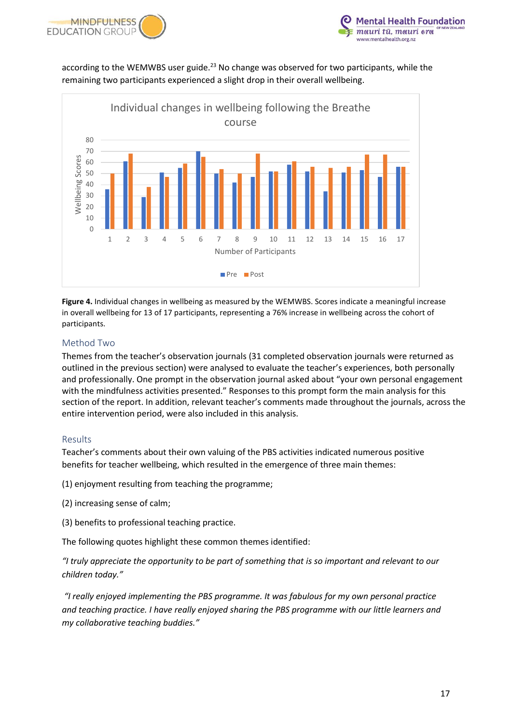



according to the WEMWBS user guide.<sup>23</sup> No change was observed for two participants, while the remaining two participants experienced a slight drop in their overall wellbeing.



**Figure 4.** Individual changes in wellbeing as measured by the WEMWBS. Scores indicate a meaningful increase in overall wellbeing for 13 of 17 participants, representing a 76% increase in wellbeing across the cohort of participants.

#### <span id="page-16-0"></span>Method Two

Themes from the teacher's observation journals (31 completed observation journals were returned as outlined in the previous section) were analysed to evaluate the teacher's experiences, both personally and professionally. One prompt in the observation journal asked about "your own personal engagement with the mindfulness activities presented." Responses to this prompt form the main analysis for this section of the report. In addition, relevant teacher's comments made throughout the journals, across the entire intervention period, were also included in this analysis.

#### <span id="page-16-1"></span>Results

Teacher's comments about their own valuing of the PBS activities indicated numerous positive benefits for teacher wellbeing, which resulted in the emergence of three main themes:

(1) enjoyment resulting from teaching the programme;

- (2) increasing sense of calm;
- (3) benefits to professional teaching practice.

The following quotes highlight these common themes identified:

*"I truly appreciate the opportunity to be part of something that is so important and relevant to our children today."*

*"I really enjoyed implementing the PBS programme. It was fabulous for my own personal practice and teaching practice. I have really enjoyed sharing the PBS programme with our little learners and my collaborative teaching buddies."*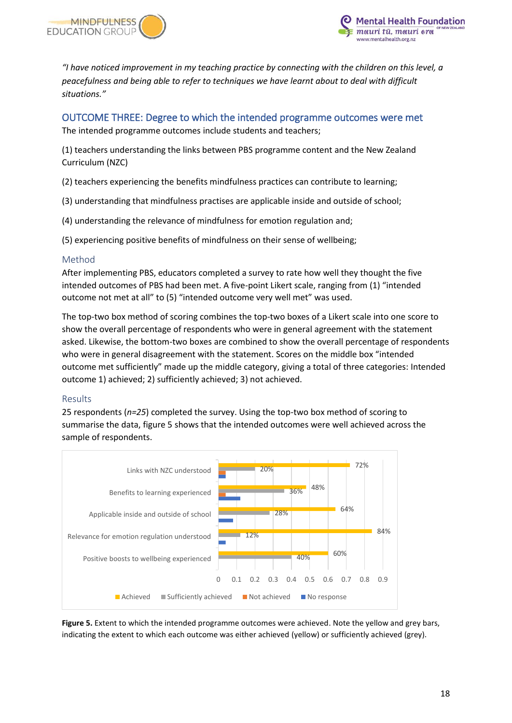



*"I have noticed improvement in my teaching practice by connecting with the children on this level, a peacefulness and being able to refer to techniques we have learnt about to deal with difficult situations."*

<span id="page-17-0"></span>OUTCOME THREE: Degree to which the intended programme outcomes were met The intended programme outcomes include students and teachers;

(1) teachers understanding the links between PBS programme content and the New Zealand Curriculum (NZC)

(2) teachers experiencing the benefits mindfulness practices can contribute to learning;

(3) understanding that mindfulness practises are applicable inside and outside of school;

(4) understanding the relevance of mindfulness for emotion regulation and;

(5) experiencing positive benefits of mindfulness on their sense of wellbeing;

#### <span id="page-17-1"></span>Method

After implementing PBS, educators completed a survey to rate how well they thought the five intended outcomes of PBS had been met. A five-point Likert scale, ranging from (1) "intended outcome not met at all" to (5) "intended outcome very well met" was used.

The top-two box method of scoring combines the top-two boxes of a Likert scale into one score to show the overall percentage of respondents who were in general agreement with the statement asked. Likewise, the bottom-two boxes are combined to show the overall percentage of respondents who were in general disagreement with the statement. Scores on the middle box "intended outcome met sufficiently" made up the middle category, giving a total of three categories: Intended outcome 1) achieved; 2) sufficiently achieved; 3) not achieved.

#### <span id="page-17-2"></span>Results

25 respondents (*n=25*) completed the survey. Using the top-two box method of scoring to summarise the data, figure 5 shows that the intended outcomes were well achieved across the sample of respondents.



**Figure 5.** Extent to which the intended programme outcomes were achieved. Note the yellow and grey bars, indicating the extent to which each outcome was either achieved (yellow) or sufficiently achieved (grey).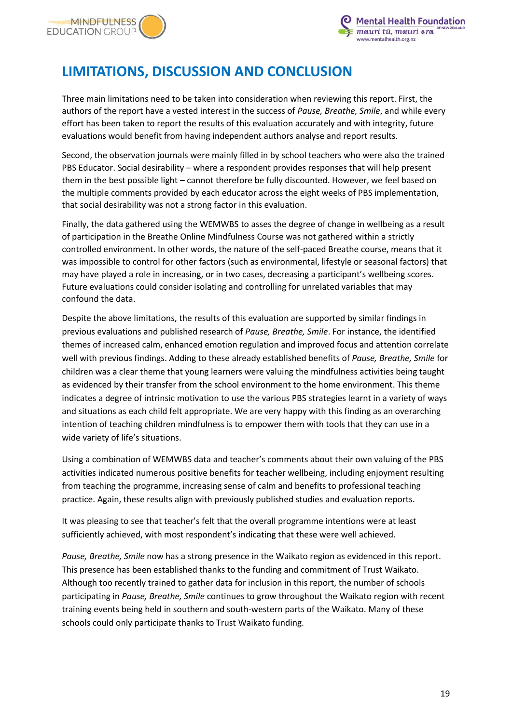



# <span id="page-18-0"></span>**LIMITATIONS, DISCUSSION AND CONCLUSION**

Three main limitations need to be taken into consideration when reviewing this report. First, the authors of the report have a vested interest in the success of *Pause, Breathe, Smile*, and while every effort has been taken to report the results of this evaluation accurately and with integrity, future evaluations would benefit from having independent authors analyse and report results.

Second, the observation journals were mainly filled in by school teachers who were also the trained PBS Educator. Social desirability – where a respondent provides responses that will help present them in the best possible light – cannot therefore be fully discounted. However, we feel based on the multiple comments provided by each educator across the eight weeks of PBS implementation, that social desirability was not a strong factor in this evaluation.

Finally, the data gathered using the WEMWBS to asses the degree of change in wellbeing as a result of participation in the Breathe Online Mindfulness Course was not gathered within a strictly controlled environment. In other words, the nature of the self-paced Breathe course, means that it was impossible to control for other factors (such as environmental, lifestyle or seasonal factors) that may have played a role in increasing, or in two cases, decreasing a participant's wellbeing scores. Future evaluations could consider isolating and controlling for unrelated variables that may confound the data.

Despite the above limitations, the results of this evaluation are supported by similar findings in previous evaluations and published research of *Pause, Breathe, Smile*. For instance, the identified themes of increased calm, enhanced emotion regulation and improved focus and attention correlate well with previous findings. Adding to these already established benefits of *Pause, Breathe, Smile* for children was a clear theme that young learners were valuing the mindfulness activities being taught as evidenced by their transfer from the school environment to the home environment. This theme indicates a degree of intrinsic motivation to use the various PBS strategies learnt in a variety of ways and situations as each child felt appropriate. We are very happy with this finding as an overarching intention of teaching children mindfulness is to empower them with tools that they can use in a wide variety of life's situations.

Using a combination of WEMWBS data and teacher's comments about their own valuing of the PBS activities indicated numerous positive benefits for teacher wellbeing, including enjoyment resulting from teaching the programme, increasing sense of calm and benefits to professional teaching practice. Again, these results align with previously published studies and evaluation reports.

It was pleasing to see that teacher's felt that the overall programme intentions were at least sufficiently achieved, with most respondent's indicating that these were well achieved.

*Pause, Breathe, Smile* now has a strong presence in the Waikato region as evidenced in this report. This presence has been established thanks to the funding and commitment of Trust Waikato. Although too recently trained to gather data for inclusion in this report, the number of schools participating in *Pause, Breathe, Smile* continues to grow throughout the Waikato region with recent training events being held in southern and south-western parts of the Waikato. Many of these schools could only participate thanks to Trust Waikato funding.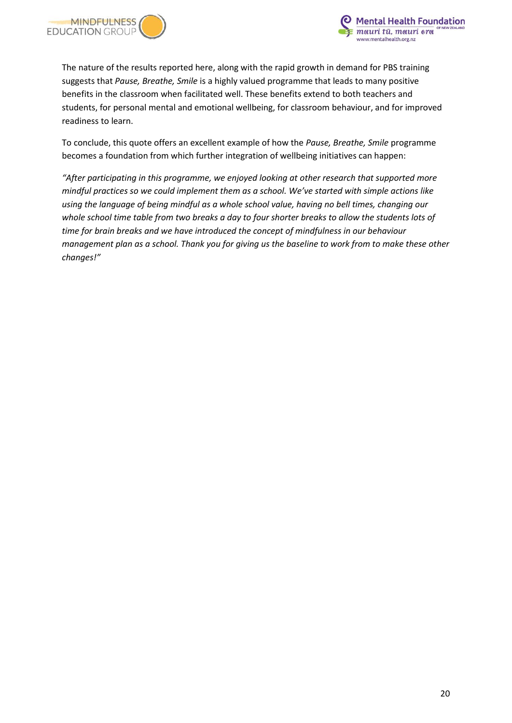



The nature of the results reported here, along with the rapid growth in demand for PBS training suggests that *Pause, Breathe, Smile* is a highly valued programme that leads to many positive benefits in the classroom when facilitated well. These benefits extend to both teachers and students, for personal mental and emotional wellbeing, for classroom behaviour, and for improved readiness to learn.

To conclude, this quote offers an excellent example of how the *Pause, Breathe, Smile* programme becomes a foundation from which further integration of wellbeing initiatives can happen:

*"After participating in this programme, we enjoyed looking at other research that supported more mindful practices so we could implement them as a school. We've started with simple actions like using the language of being mindful as a whole school value, having no bell times, changing our whole school time table from two breaks a day to four shorter breaks to allow the students lots of time for brain breaks and we have introduced the concept of mindfulness in our behaviour management plan as a school. Thank you for giving us the baseline to work from to make these other changes!"*